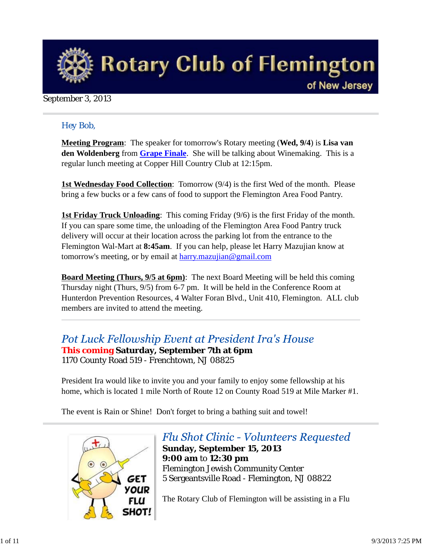

### September 3, 2013

### *Hey Bob,*

**Meeting Program**: The speaker for tomorrow's Rotary meeting (**Wed, 9/4**) is **Lisa van den Woldenberg** from **Grape Finale**. She will be talking about Winemaking. This is a regular lunch meeting at Copper Hill Country Club at 12:15pm.

**1st Wednesday Food Collection**: Tomorrow (9/4) is the first Wed of the month. Please bring a few bucks or a few cans of food to support the Flemington Area Food Pantry.

**1st Friday Truck Unloading**: This coming Friday (9/6) is the first Friday of the month. If you can spare some time, the unloading of the Flemington Area Food Pantry truck delivery will occur at their location across the parking lot from the entrance to the Flemington Wal-Mart at **8:45am**. If you can help, please let Harry Mazujian know at tomorrow's meeting, or by email at harry.mazujian@gmail.com

**Board Meeting (Thurs, 9/5 at 6pm)**: The next Board Meeting will be held this coming Thursday night (Thurs, 9/5) from 6-7 pm. It will be held in the Conference Room at Hunterdon Prevention Resources, 4 Walter Foran Blvd., Unit 410, Flemington. ALL club members are invited to attend the meeting.

Pot Luck Fellowship Event at President Ira's House

**This coming Saturday, September 7th at 6pm** 1170 County Road 519 - Frenchtown, NJ 08825

President Ira would like to invite you and your family to enjoy some fellowship at his home, which is located 1 mile North of Route 12 on County Road 519 at Mile Marker #1.

The event is Rain or Shine! Don't forget to bring a bathing suit and towel!



# **Flu Shot Clinic - Volunteers Requested**

**Sunday, September 15, 2013 9:00 am** to **12:30 pm** Flemington Jewish Community Center 5 Sergeantsville Road - Flemington, NJ 08822

The Rotary Club of Flemington will be assisting in a Flu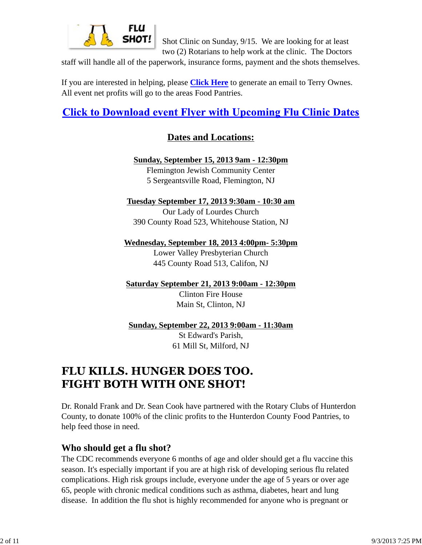

Shot Clinic on Sunday, 9/15. We are looking for at least two (2) Rotarians to help work at the clinic. The Doctors

staff will handle all of the paperwork, insurance forms, payment and the shots themselves.

If you are interested in helping, please **Click Here** to generate an email to Terry Ownes. All event net profits will go to the areas Food Pantries.

# **Click to Download event Flyer with Upcoming Flu Clinic Dates**

## **Dates and Locations:**

**Sunday, September 15, 2013 9am - 12:30pm** Flemington Jewish Community Center 5 Sergeantsville Road, Flemington, NJ

**Tuesday September 17, 2013 9:30am - 10:30 am**

Our Lady of Lourdes Church 390 County Road 523, Whitehouse Station, NJ

**Wednesday, September 18, 2013 4:00pm- 5:30pm** Lower Valley Presbyterian Church 445 County Road 513, Califon, NJ

**Saturday September 21, 2013 9:00am - 12:30pm**

Clinton Fire House Main St, Clinton, NJ

**Sunday, September 22, 2013 9:00am - 11:30am**

St Edward's Parish, 61 Mill St, Milford, NJ

# **FLU KILLS. HUNGER DOES TOO. FIGHT BOTH WITH ONE SHOT!**

Dr. Ronald Frank and Dr. Sean Cook have partnered with the Rotary Clubs of Hunterdon County, to donate 100% of the clinic profits to the Hunterdon County Food Pantries, to help feed those in need.

## **Who should get a flu shot?**

The CDC recommends everyone 6 months of age and older should get a flu vaccine this season. It's especially important if you are at high risk of developing serious flu related complications. High risk groups include, everyone under the age of 5 years or over age 65, people with chronic medical conditions such as asthma, diabetes, heart and lung disease. In addition the flu shot is highly recommended for anyone who is pregnant or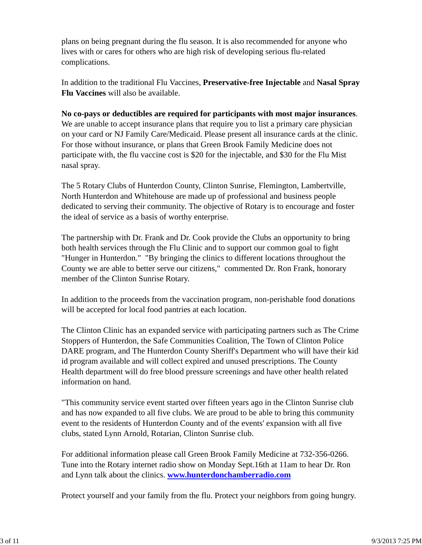plans on being pregnant during the flu season. It is also recommended for anyone who lives with or cares for others who are high risk of developing serious flu-related complications.

In addition to the traditional Flu Vaccines, **Preservative-free Injectable** and **Nasal Spray Flu Vaccines** will also be available.

**No co-pays or deductibles are required for participants with most major insurances**. We are unable to accept insurance plans that require you to list a primary care physician on your card or NJ Family Care/Medicaid. Please present all insurance cards at the clinic. For those without insurance, or plans that Green Brook Family Medicine does not participate with, the flu vaccine cost is \$20 for the injectable, and \$30 for the Flu Mist nasal spray.

The 5 Rotary Clubs of Hunterdon County, Clinton Sunrise, Flemington, Lambertville, North Hunterdon and Whitehouse are made up of professional and business people dedicated to serving their community. The objective of Rotary is to encourage and foster the ideal of service as a basis of worthy enterprise.

The partnership with Dr. Frank and Dr. Cook provide the Clubs an opportunity to bring both health services through the Flu Clinic and to support our common goal to fight "Hunger in Hunterdon." "By bringing the clinics to different locations throughout the County we are able to better serve our citizens," commented Dr. Ron Frank, honorary member of the Clinton Sunrise Rotary.

In addition to the proceeds from the vaccination program, non-perishable food donations will be accepted for local food pantries at each location.

The Clinton Clinic has an expanded service with participating partners such as The Crime Stoppers of Hunterdon, the Safe Communities Coalition, The Town of Clinton Police DARE program, and The Hunterdon County Sheriff's Department who will have their kid id program available and will collect expired and unused prescriptions. The County Health department will do free blood pressure screenings and have other health related information on hand.

"This community service event started over fifteen years ago in the Clinton Sunrise club and has now expanded to all five clubs. We are proud to be able to bring this community event to the residents of Hunterdon County and of the events' expansion with all five clubs, stated Lynn Arnold, Rotarian, Clinton Sunrise club.

For additional information please call Green Brook Family Medicine at 732-356-0266. Tune into the Rotary internet radio show on Monday Sept.16th at 11am to hear Dr. Ron and Lynn talk about the clinics. **www.hunterdonchamberradio.com**

Protect yourself and your family from the flu. Protect your neighbors from going hungry.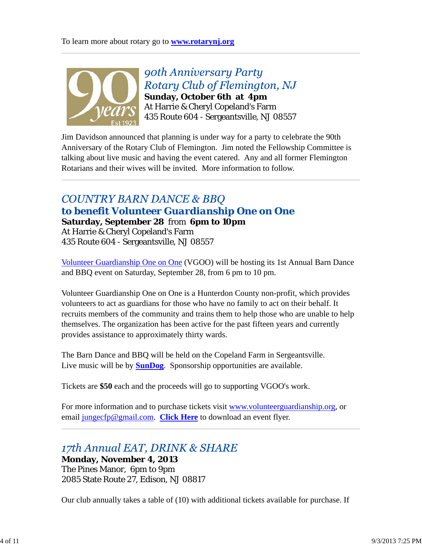

90th Anniversary Party Rotary Club of Flemington, NJ **Sunday, October 6th at 4pm** At Harrie & Cheryl Copeland's Farm 435 Route 604 - Sergeantsville, NJ 08557

Jim Davidson announced that planning is under way for a party to celebrate the 90th Anniversary of the Rotary Club of Flemington. Jim noted the Fellowship Committee is talking about live music and having the event catered. Any and all former Flemington Rotarians and their wives will be invited. More information to follow.

# **COUNTRY BARN DANCE & BBQ** *to benefit Volunteer Guardianship One on One* **Saturday, September 28** from **6pm to 10pm**

At Harrie & Cheryl Copeland's Farm 435 Route 604 - Sergeantsville, NJ 08557

Volunteer Guardianship One on One (VGOO) will be hosting its 1st Annual Barn Dance and BBQ event on Saturday, September 28, from 6 pm to 10 pm.

Volunteer Guardianship One on One is a Hunterdon County non-profit, which provides volunteers to act as guardians for those who have no family to act on their behalf. It recruits members of the community and trains them to help those who are unable to help themselves. The organization has been active for the past fifteen years and currently provides assistance to approximately thirty wards.

The Barn Dance and BBQ will be held on the Copeland Farm in Sergeantsville. Live music will be by **SunDog**. Sponsorship opportunities are available.

Tickets are **\$50** each and the proceeds will go to supporting VGOO's work.

For more information and to purchase tickets visit www.volunteerguardianship.org, or email jungecfp@gmail.com. **Click Here** to download an event flyer.

## 17th Annual EAT, DRINK & SHARE **Monday, November 4, 2013** The Pines Manor, 6pm to 9pm 2085 State Route 27, Edison, NJ 08817

Our club annually takes a table of (10) with additional tickets available for purchase. If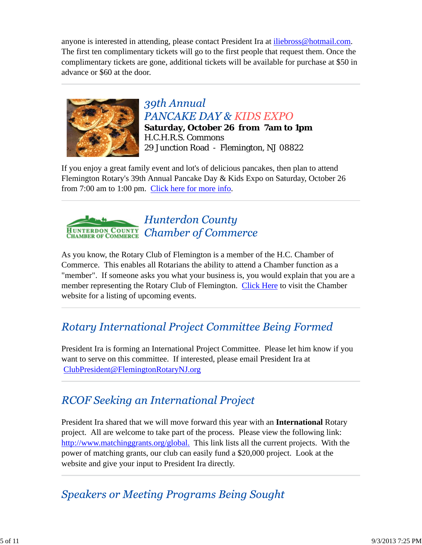anyone is interested in attending, please contact President Ira at iliebross@hotmail.com. The first ten complimentary tickets will go to the first people that request them. Once the complimentary tickets are gone, additional tickets will be available for purchase at \$50 in advance or \$60 at the door.



39th Annual **PANCAKE DAY & KIDS EXPO Saturday, October 26 from 7am to 1pm** H.C.H.R.S. Commons 29 Junction Road - Flemington, NJ 08822

If you enjoy a great family event and lot's of delicious pancakes, then plan to attend Flemington Rotary's 39th Annual Pancake Day & Kids Expo on Saturday, October 26 from 7:00 am to 1:00 pm. Click here for more info.



As you know, the Rotary Club of Flemington is a member of the H.C. Chamber of Commerce. This enables all Rotarians the ability to attend a Chamber function as a "member". If someone asks you what your business is, you would explain that you are a member representing the Rotary Club of Flemington. Click Here to visit the Chamber website for a listing of upcoming events.

# **Rotary International Project Committee Being Formed**

President Ira is forming an International Project Committee. Please let him know if you want to serve on this committee. If interested, please email President Ira at ClubPresident@FlemingtonRotaryNJ.org

# **RCOF Seeking an International Project**

President Ira shared that we will move forward this year with an **International** Rotary project. All are welcome to take part of the process. Please view the following link: http://www.matchinggrants.org/global. This link lists all the current projects. With the power of matching grants, our club can easily fund a \$20,000 project. Look at the website and give your input to President Ira directly.

# **Speakers or Meeting Programs Being Sought**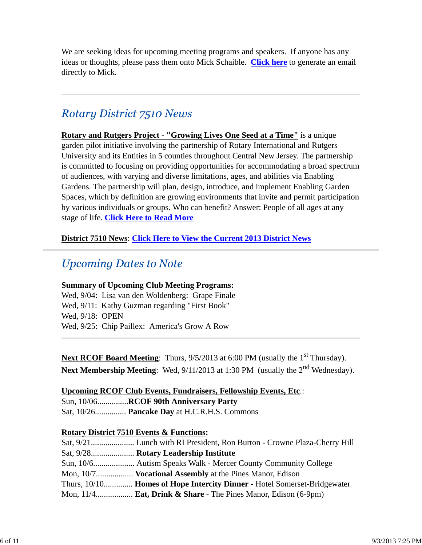We are seeking ideas for upcoming meeting programs and speakers. If anyone has any ideas or thoughts, please pass them onto Mick Schaible. **Click here** to generate an email directly to Mick.

# **Rotary District 7510 News**

**Rotary and Rutgers Project - "Growing Lives One Seed at a Time"** is a unique garden pilot initiative involving the partnership of Rotary International and Rutgers University and its Entities in 5 counties throughout Central New Jersey. The partnership is committed to focusing on providing opportunities for accommodating a broad spectrum of audiences, with varying and diverse limitations, ages, and abilities via Enabling Gardens. The partnership will plan, design, introduce, and implement Enabling Garden Spaces, which by definition are growing environments that invite and permit participation by various individuals or groups. Who can benefit? Answer: People of all ages at any stage of life. **Click Here to Read More**

### **District 7510 News**: **Click Here to View the Current 2013 District News**

# **Upcoming Dates to Note**

### **Summary of Upcoming Club Meeting Programs:**

Wed, 9/04: Lisa van den Woldenberg: Grape Finale Wed, 9/11: Kathy Guzman regarding "First Book" Wed, 9/18: OPEN Wed, 9/25: Chip Paillex: America's Grow A Row

**Next RCOF Board Meeting**: Thurs,  $9/5/2013$  at 6:00 PM (usually the 1<sup>st</sup> Thursday). **Next Membership Meeting**: Wed, 9/11/2013 at 1:30 PM (usually the 2<sup>nd</sup> Wednesday).

#### **Upcoming RCOF Club Events, Fundraisers, Fellowship Events, Etc**.:

Sun, 10/06...............**RCOF 90th Anniversary Party**

## Sat, 10/26............... **Pancake Day** at H.C.R.H.S. Commons

#### **Rotary District 7510 Events & Functions:**

| Sat, 9/28 Rotary Leadership Institute                                       |
|-----------------------------------------------------------------------------|
| Sun, 10/6 Autism Speaks Walk - Mercer County Community College              |
| Mon, 10/7 <b>Vocational Assembly</b> at the Pines Manor, Edison             |
| Thurs, 10/10 Homes of Hope Intercity Dinner - Hotel Somerset-Bridgewater    |
| Mon, $11/4$ <b>Eat, Drink &amp; Share</b> - The Pines Manor, Edison (6-9pm) |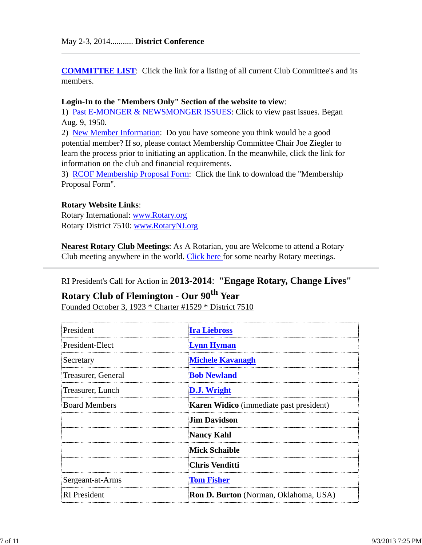**COMMITTEE LIST**: Click the link for a listing of all current Club Committee's and its members.

#### **Login-In to the "Members Only" Section of the website to view**:

1) Past E-MONGER & NEWSMONGER ISSUES: Click to view past issues. Began Aug. 9, 1950.

2) New Member Information: Do you have someone you think would be a good potential member? If so, please contact Membership Committee Chair Joe Ziegler to learn the process prior to initiating an application. In the meanwhile, click the link for information on the club and financial requirements.

3) RCOF Membership Proposal Form: Click the link to download the "Membership Proposal Form".

#### **Rotary Website Links**:

Rotary International: www.Rotary.org Rotary District 7510: www.RotaryNJ.org

**Nearest Rotary Club Meetings**: As A Rotarian, you are Welcome to attend a Rotary Club meeting anywhere in the world. Click here for some nearby Rotary meetings.

### RI President's Call for Action in **2013-2014**: **"Engage Rotary, Change Lives"**

# **Rotary Club of Flemington - Our 90th Year**

Founded October 3, 1923 \* Charter #1529 \* District 7510

| President            | <b>Ira Liebross</b>                            |  |  |
|----------------------|------------------------------------------------|--|--|
| President-Elect      | <b>Lynn Hyman</b>                              |  |  |
| Secretary            | <b>Michele Kavanagh</b>                        |  |  |
| Treasurer, General   | <b>Bob Newland</b>                             |  |  |
| Treasurer, Lunch     | <b>D.J. Wright</b>                             |  |  |
| <b>Board Members</b> | <b>Karen Widico</b> (immediate past president) |  |  |
|                      | <b>Jim Davidson</b>                            |  |  |
|                      | <b>Nancy Kahl</b>                              |  |  |
|                      | <b>Mick Schaible</b>                           |  |  |
|                      | <b>Chris Venditti</b>                          |  |  |
| Sergeant-at-Arms     | <b>Tom Fisher</b>                              |  |  |
| <b>RI</b> President  | <b>Ron D. Burton</b> (Norman, Oklahoma, USA)   |  |  |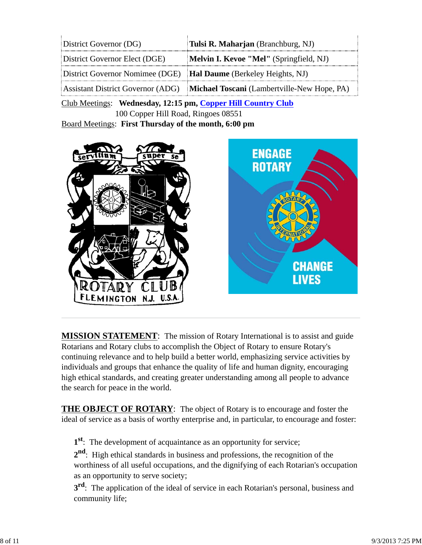| District Governor (DG)                                                  | Tulsi R. Maharjan (Branchburg, NJ)                                            |  |  |
|-------------------------------------------------------------------------|-------------------------------------------------------------------------------|--|--|
| District Governor Elect (DGE)                                           | Melvin I. Kevoe "Mel" (Springfield, NJ)                                       |  |  |
| District Governor Nomimee (DGE) <b>Hal Daume</b> (Berkeley Heights, NJ) |                                                                               |  |  |
|                                                                         | Assistant District Governor (ADG) Michael Toscani (Lambertville-New Hope, PA) |  |  |

Club Meetings: **Wednesday, 12:15 pm, Copper Hill Country Club** 100 Copper Hill Road, Ringoes 08551

Board Meetings: **First Thursday of the month, 6:00 pm**



**MISSION STATEMENT**: The mission of Rotary International is to assist and guide Rotarians and Rotary clubs to accomplish the Object of Rotary to ensure Rotary's continuing relevance and to help build a better world, emphasizing service activities by individuals and groups that enhance the quality of life and human dignity, encouraging high ethical standards, and creating greater understanding among all people to advance the search for peace in the world.

**THE OBJECT OF ROTARY**: The object of Rotary is to encourage and foster the ideal of service as a basis of worthy enterprise and, in particular, to encourage and foster:

**1st**: The development of acquaintance as an opportunity for service;

**2nd**: High ethical standards in business and professions, the recognition of the worthiness of all useful occupations, and the dignifying of each Rotarian's occupation as an opportunity to serve society;

**3<sup>rd</sup>**: The application of the ideal of service in each Rotarian's personal, business and community life;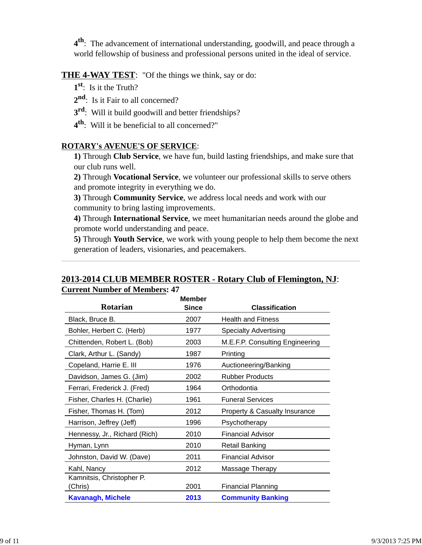**4th**: The advancement of international understanding, goodwill, and peace through a world fellowship of business and professional persons united in the ideal of service.

## **THE 4-WAY TEST**: "Of the things we think, say or do:

- **1st**: Is it the Truth?
- 2<sup>nd</sup>: Is it Fair to all concerned?
- **3rd**: Will it build goodwill and better friendships?
- **4th**: Will it be beneficial to all concerned?"

### **ROTARY's AVENUE'S OF SERVICE**:

**1)** Through **Club Service**, we have fun, build lasting friendships, and make sure that our club runs well.

**2)** Through **Vocational Service**, we volunteer our professional skills to serve others and promote integrity in everything we do.

**3)** Through **Community Service**, we address local needs and work with our community to bring lasting improvements.

**4)** Through **International Service**, we meet humanitarian needs around the globe and promote world understanding and peace.

**5)** Through **Youth Service**, we work with young people to help them become the next generation of leaders, visionaries, and peacemakers.

### **2013-2014 CLUB MEMBER ROSTER - Rotary Club of Flemington, NJ**: **Current Number of Members: 47**

| <b>Rotarian</b>                      | <b>Member</b><br><b>Since</b> | <b>Classification</b>                    |
|--------------------------------------|-------------------------------|------------------------------------------|
| Black, Bruce B.                      | 2007                          | <b>Health and Fitness</b>                |
| Bohler, Herbert C. (Herb)            | 1977                          | <b>Specialty Advertising</b>             |
| Chittenden, Robert L. (Bob)          | 2003                          | M.E.F.P. Consulting Engineering          |
| Clark, Arthur L. (Sandy)             | 1987                          | Printing                                 |
| Copeland, Harrie E. III              | 1976                          | Auctioneering/Banking                    |
| Davidson, James G. (Jim)             | 2002                          | <b>Rubber Products</b>                   |
| Ferrari, Frederick J. (Fred)         | 1964                          | Orthodontia                              |
| Fisher, Charles H. (Charlie)         | 1961                          | <b>Funeral Services</b>                  |
| Fisher, Thomas H. (Tom)              | 2012                          | <b>Property &amp; Casualty Insurance</b> |
| Harrison, Jeffrey (Jeff)             | 1996                          | Psychotherapy                            |
| Hennessy, Jr., Richard (Rich)        | 2010                          | <b>Financial Advisor</b>                 |
| Hyman, Lynn                          | 2010                          | <b>Retail Banking</b>                    |
| Johnston, David W. (Dave)            | 2011                          | <b>Financial Advisor</b>                 |
| Kahl, Nancy                          | 2012                          | Massage Therapy                          |
| Kamnitsis, Christopher P.<br>(Chris) | 2001                          | <b>Financial Planning</b>                |
| <b>Kavanagh, Michele</b>             | 2013                          | <b>Community Banking</b>                 |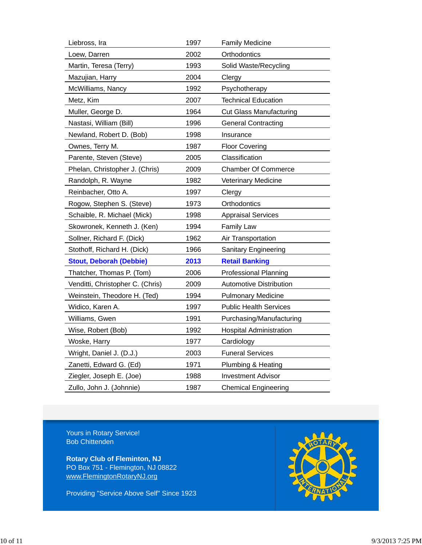| Liebross, Ira                    | 1997 | <b>Family Medicine</b>         |
|----------------------------------|------|--------------------------------|
| Loew, Darren                     | 2002 | Orthodontics                   |
| Martin, Teresa (Terry)           | 1993 | Solid Waste/Recycling          |
| Mazujian, Harry                  | 2004 | Clergy                         |
| McWilliams, Nancy                | 1992 | Psychotherapy                  |
| Metz, Kim                        | 2007 | <b>Technical Education</b>     |
| Muller, George D.                | 1964 | <b>Cut Glass Manufacturing</b> |
| Nastasi, William (Bill)          | 1996 | <b>General Contracting</b>     |
| Newland, Robert D. (Bob)         | 1998 | Insurance                      |
| Ownes, Terry M.                  | 1987 | <b>Floor Covering</b>          |
| Parente, Steven (Steve)          | 2005 | Classification                 |
| Phelan, Christopher J. (Chris)   | 2009 | <b>Chamber Of Commerce</b>     |
| Randolph, R. Wayne               | 1982 | Veterinary Medicine            |
| Reinbacher, Otto A.              | 1997 | Clergy                         |
| Rogow, Stephen S. (Steve)        | 1973 | Orthodontics                   |
| Schaible, R. Michael (Mick)      | 1998 | <b>Appraisal Services</b>      |
| Skowronek, Kenneth J. (Ken)      | 1994 | <b>Family Law</b>              |
| Sollner, Richard F. (Dick)       | 1962 | Air Transportation             |
| Stothoff, Richard H. (Dick)      | 1966 | <b>Sanitary Engineering</b>    |
| <b>Stout, Deborah (Debbie)</b>   | 2013 | <b>Retail Banking</b>          |
| Thatcher, Thomas P. (Tom)        | 2006 | <b>Professional Planning</b>   |
| Venditti, Christopher C. (Chris) | 2009 | <b>Automotive Distribution</b> |
| Weinstein, Theodore H. (Ted)     | 1994 | <b>Pulmonary Medicine</b>      |
| Widico, Karen A.                 | 1997 | <b>Public Health Services</b>  |
| Williams, Gwen                   | 1991 | Purchasing/Manufacturing       |
| Wise, Robert (Bob)               | 1992 | <b>Hospital Administration</b> |
| Woske, Harry                     | 1977 | Cardiology                     |
| Wright, Daniel J. (D.J.)         | 2003 | <b>Funeral Services</b>        |
| Zanetti, Edward G. (Ed)          | 1971 | Plumbing & Heating             |
| Ziegler, Joseph E. (Joe)         | 1988 | <b>Investment Advisor</b>      |
| Zullo, John J. (Johnnie)         | 1987 | <b>Chemical Engineering</b>    |

Yours in Rotary Service! Bob Chittenden

**Rotary Club of Fleminton, NJ** PO Box 751 - Flemington, NJ 08822 www.FlemingtonRotaryNJ.org

Providing "Service Above Self" Since 1923